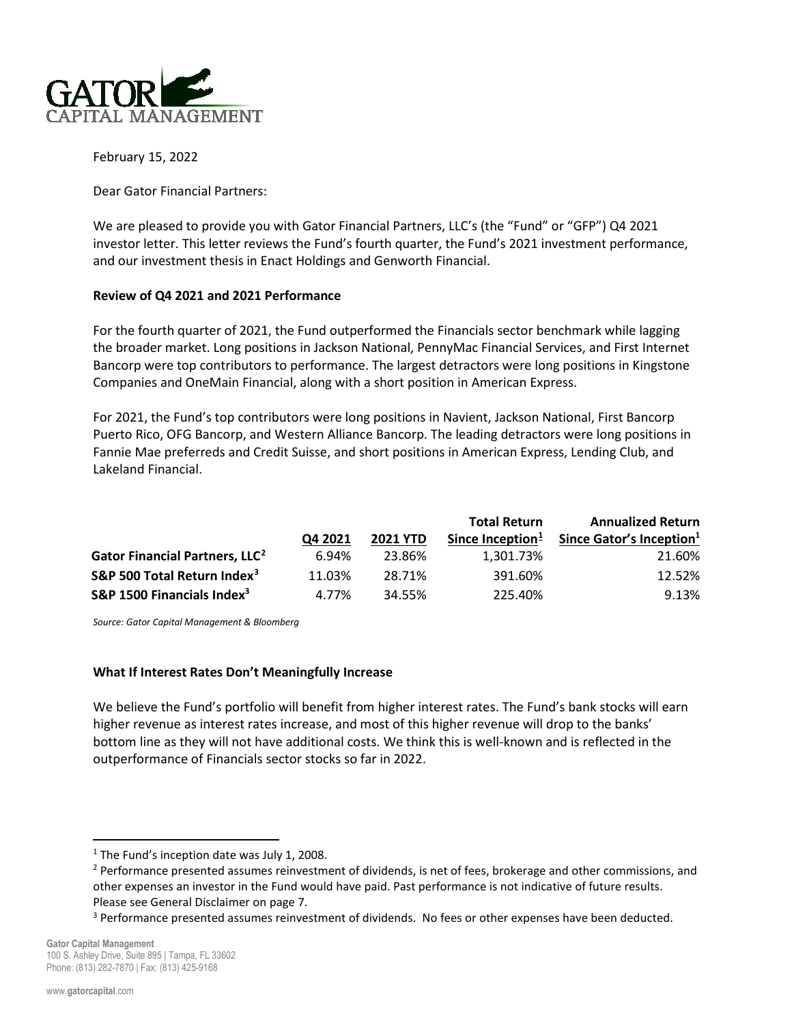

February 15, 2022

Dear Gator Financial Partners:

We are pleased to provide you with Gator Financial Partners, LLC's (the "Fund" or "GFP") Q4 2021 investor letter. This letter reviews the Fund's fourth quarter, the Fund's 2021 investment performance, and our investment thesis in Enact Holdings and Genworth Financial.

### **Review of Q4 2021 and 2021 Performance**

For the fourth quarter of 2021, the Fund outperformed the Financials sector benchmark while lagging the broader market. Long positions in Jackson National, PennyMac Financial Services, and First Internet Bancorp were top contributors to performance. The largest detractors were long positions in Kingstone Companies and OneMain Financial, along with a short position in American Express.

For 2021, the Fund's top contributors were long positions in Navient, Jackson National, First Bancorp Puerto Rico, OFG Bancorp, and Western Alliance Bancorp. The leading detractors were long positions in Fannie Mae preferreds and Credit Suisse, and short positions in American Express, Lending Club, and Lakeland Financial.

|                                            |         |                 | <b>Total Return</b> | <b>Annualized Return</b>             |
|--------------------------------------------|---------|-----------------|---------------------|--------------------------------------|
|                                            | Q4 2021 | <b>2021 YTD</b> | Since Inception $1$ | Since Gator's Inception <sup>1</sup> |
| Gator Financial Partners, LLC <sup>2</sup> | 6.94%   | 23.86%          | 1.301.73%           | 21.60%                               |
| S&P 500 Total Return Index <sup>3</sup>    | 11.03%  | 28.71%          | 391.60%             | 12.52%                               |
| S&P 1500 Financials Index <sup>3</sup>     | 4.77%   | 34.55%          | 225.40%             | 9.13%                                |

*Source: Gator Capital Management & Bloomberg*

## **What If Interest Rates Don't Meaningfully Increase**

We believe the Fund's portfolio will benefit from higher interest rates. The Fund's bank stocks will earn higher revenue as interest rates increase, and most of this higher revenue will drop to the banks' bottom line as they will not have additional costs. We think this is well-known and is reflected in the outperformance of Financials sector stocks so far in 2022.

<span id="page-0-0"></span><sup>&</sup>lt;sup>1</sup> The Fund's inception date was July 1, 2008.

<span id="page-0-1"></span><sup>&</sup>lt;sup>2</sup> Performance presented assumes reinvestment of dividends, is net of fees, brokerage and other commissions, and other expenses an investor in the Fund would have paid. Past performance is not indicative of future results. Please see General Disclaimer on page 7.

<span id="page-0-2"></span><sup>&</sup>lt;sup>3</sup> Performance presented assumes reinvestment of dividends. No fees or other expenses have been deducted.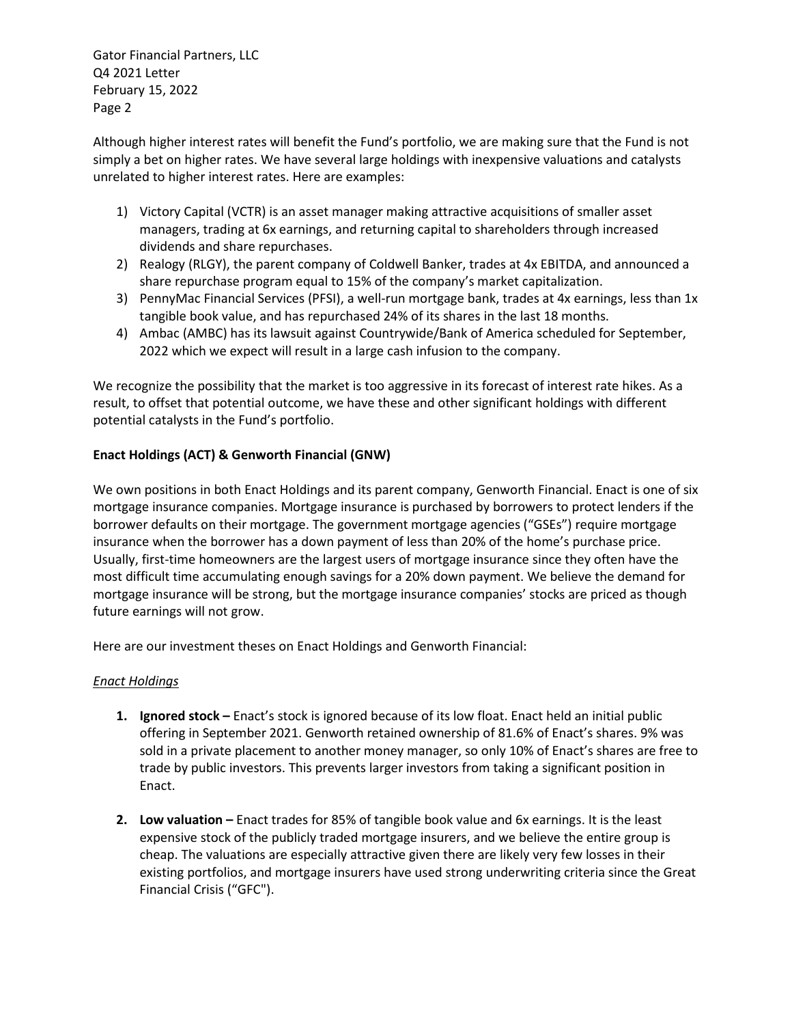Although higher interest rates will benefit the Fund's portfolio, we are making sure that the Fund is not simply a bet on higher rates. We have several large holdings with inexpensive valuations and catalysts unrelated to higher interest rates. Here are examples:

- 1) Victory Capital (VCTR) is an asset manager making attractive acquisitions of smaller asset managers, trading at 6x earnings, and returning capital to shareholders through increased dividends and share repurchases.
- 2) Realogy (RLGY), the parent company of Coldwell Banker, trades at 4x EBITDA, and announced a share repurchase program equal to 15% of the company's market capitalization.
- 3) PennyMac Financial Services (PFSI), a well-run mortgage bank, trades at 4x earnings, less than 1x tangible book value, and has repurchased 24% of its shares in the last 18 months.
- 4) Ambac (AMBC) has its lawsuit against Countrywide/Bank of America scheduled for September, 2022 which we expect will result in a large cash infusion to the company.

We recognize the possibility that the market is too aggressive in its forecast of interest rate hikes. As a result, to offset that potential outcome, we have these and other significant holdings with different potential catalysts in the Fund's portfolio.

# **Enact Holdings (ACT) & Genworth Financial (GNW)**

We own positions in both Enact Holdings and its parent company, Genworth Financial. Enact is one of six mortgage insurance companies. Mortgage insurance is purchased by borrowers to protect lenders if the borrower defaults on their mortgage. The government mortgage agencies ("GSEs") require mortgage insurance when the borrower has a down payment of less than 20% of the home's purchase price. Usually, first-time homeowners are the largest users of mortgage insurance since they often have the most difficult time accumulating enough savings for a 20% down payment. We believe the demand for mortgage insurance will be strong, but the mortgage insurance companies' stocks are priced as though future earnings will not grow.

Here are our investment theses on Enact Holdings and Genworth Financial:

# *Enact Holdings*

- **1. Ignored stock –** Enact's stock is ignored because of its low float. Enact held an initial public offering in September 2021. Genworth retained ownership of 81.6% of Enact's shares. 9% was sold in a private placement to another money manager, so only 10% of Enact's shares are free to trade by public investors. This prevents larger investors from taking a significant position in Enact.
- **2. Low valuation –** Enact trades for 85% of tangible book value and 6x earnings. It is the least expensive stock of the publicly traded mortgage insurers, and we believe the entire group is cheap. The valuations are especially attractive given there are likely very few losses in their existing portfolios, and mortgage insurers have used strong underwriting criteria since the Great Financial Crisis ("GFC").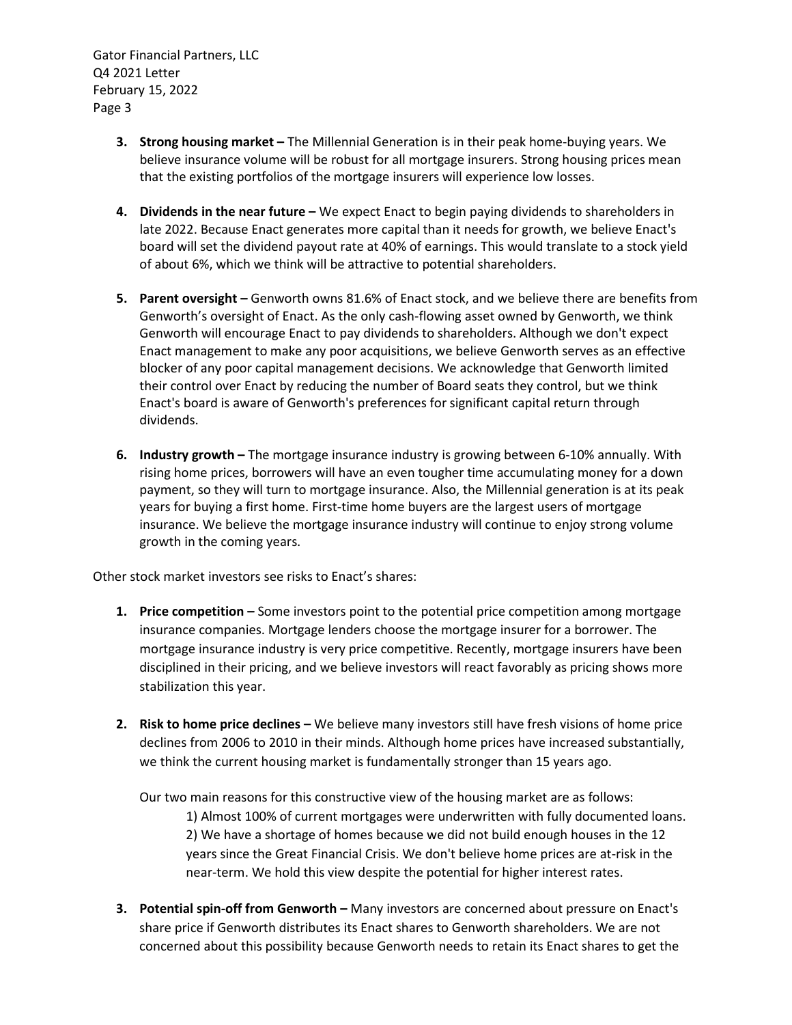- **3. Strong housing market –** The Millennial Generation is in their peak home-buying years. We believe insurance volume will be robust for all mortgage insurers. Strong housing prices mean that the existing portfolios of the mortgage insurers will experience low losses.
- **4. Dividends in the near future –** We expect Enact to begin paying dividends to shareholders in late 2022. Because Enact generates more capital than it needs for growth, we believe Enact's board will set the dividend payout rate at 40% of earnings. This would translate to a stock yield of about 6%, which we think will be attractive to potential shareholders.
- **5. Parent oversight –** Genworth owns 81.6% of Enact stock, and we believe there are benefits from Genworth's oversight of Enact. As the only cash-flowing asset owned by Genworth, we think Genworth will encourage Enact to pay dividends to shareholders. Although we don't expect Enact management to make any poor acquisitions, we believe Genworth serves as an effective blocker of any poor capital management decisions. We acknowledge that Genworth limited their control over Enact by reducing the number of Board seats they control, but we think Enact's board is aware of Genworth's preferences for significant capital return through dividends.
- **6. Industry growth –** The mortgage insurance industry is growing between 6-10% annually. With rising home prices, borrowers will have an even tougher time accumulating money for a down payment, so they will turn to mortgage insurance. Also, the Millennial generation is at its peak years for buying a first home. First-time home buyers are the largest users of mortgage insurance. We believe the mortgage insurance industry will continue to enjoy strong volume growth in the coming years.

Other stock market investors see risks to Enact's shares:

- **1. Price competition –** Some investors point to the potential price competition among mortgage insurance companies. Mortgage lenders choose the mortgage insurer for a borrower. The mortgage insurance industry is very price competitive. Recently, mortgage insurers have been disciplined in their pricing, and we believe investors will react favorably as pricing shows more stabilization this year.
- **2. Risk to home price declines –** We believe many investors still have fresh visions of home price declines from 2006 to 2010 in their minds. Although home prices have increased substantially, we think the current housing market is fundamentally stronger than 15 years ago.

Our two main reasons for this constructive view of the housing market are as follows:

1) Almost 100% of current mortgages were underwritten with fully documented loans. 2) We have a shortage of homes because we did not build enough houses in the 12 years since the Great Financial Crisis. We don't believe home prices are at-risk in the near-term. We hold this view despite the potential for higher interest rates.

**3. Potential spin-off from Genworth –** Many investors are concerned about pressure on Enact's share price if Genworth distributes its Enact shares to Genworth shareholders. We are not concerned about this possibility because Genworth needs to retain its Enact shares to get the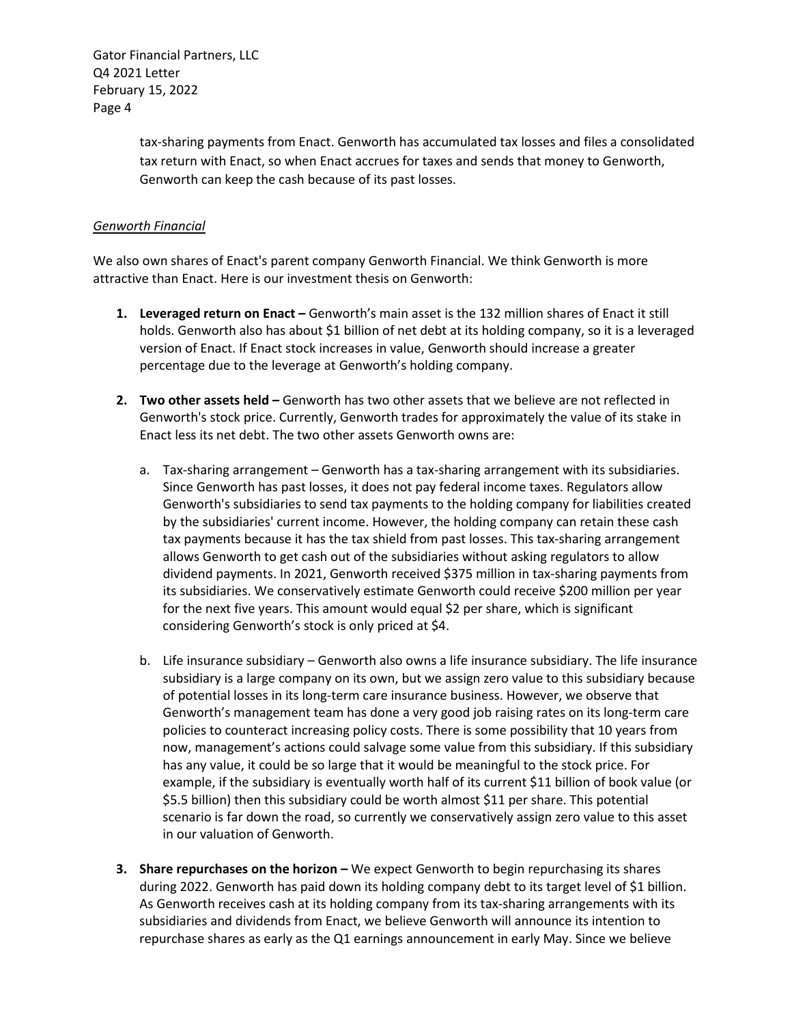> tax-sharing payments from Enact. Genworth has accumulated tax losses and files a consolidated tax return with Enact, so when Enact accrues for taxes and sends that money to Genworth, Genworth can keep the cash because of its past losses.

# *Genworth Financial*

We also own shares of Enact's parent company Genworth Financial. We think Genworth is more attractive than Enact. Here is our investment thesis on Genworth:

- **1. Leveraged return on Enact –** Genworth's main asset is the 132 million shares of Enact it still holds. Genworth also has about \$1 billion of net debt at its holding company, so it is a leveraged version of Enact. If Enact stock increases in value, Genworth should increase a greater percentage due to the leverage at Genworth's holding company.
- **2. Two other assets held –** Genworth has two other assets that we believe are not reflected in Genworth's stock price. Currently, Genworth trades for approximately the value of its stake in Enact less its net debt. The two other assets Genworth owns are:
	- a. Tax-sharing arrangement Genworth has a tax-sharing arrangement with its subsidiaries. Since Genworth has past losses, it does not pay federal income taxes. Regulators allow Genworth's subsidiaries to send tax payments to the holding company for liabilities created by the subsidiaries' current income. However, the holding company can retain these cash tax payments because it has the tax shield from past losses. This tax-sharing arrangement allows Genworth to get cash out of the subsidiaries without asking regulators to allow dividend payments. In 2021, Genworth received \$375 million in tax-sharing payments from its subsidiaries. We conservatively estimate Genworth could receive \$200 million per year for the next five years. This amount would equal \$2 per share, which is significant considering Genworth's stock is only priced at \$4.
	- b. Life insurance subsidiary Genworth also owns a life insurance subsidiary. The life insurance subsidiary is a large company on its own, but we assign zero value to this subsidiary because of potential losses in its long-term care insurance business. However, we observe that Genworth's management team has done a very good job raising rates on its long-term care policies to counteract increasing policy costs. There is some possibility that 10 years from now, management's actions could salvage some value from this subsidiary. If this subsidiary has any value, it could be so large that it would be meaningful to the stock price. For example, if the subsidiary is eventually worth half of its current \$11 billion of book value (or \$5.5 billion) then this subsidiary could be worth almost \$11 per share. This potential scenario is far down the road, so currently we conservatively assign zero value to this asset in our valuation of Genworth.
- **3. Share repurchases on the horizon –** We expect Genworth to begin repurchasing its shares during 2022. Genworth has paid down its holding company debt to its target level of \$1 billion. As Genworth receives cash at its holding company from its tax-sharing arrangements with its subsidiaries and dividends from Enact, we believe Genworth will announce its intention to repurchase shares as early as the Q1 earnings announcement in early May. Since we believe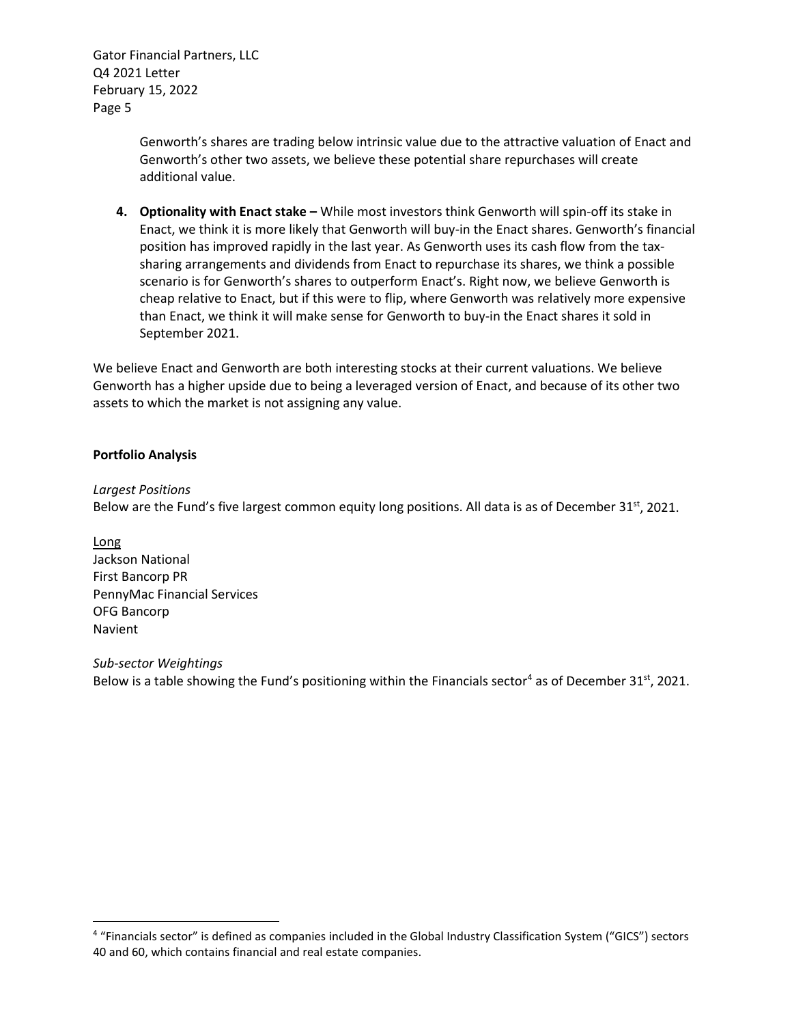> Genworth's shares are trading below intrinsic value due to the attractive valuation of Enact and Genworth's other two assets, we believe these potential share repurchases will create additional value.

**4. Optionality with Enact stake –** While most investors think Genworth will spin-off its stake in Enact, we think it is more likely that Genworth will buy-in the Enact shares. Genworth's financial position has improved rapidly in the last year. As Genworth uses its cash flow from the taxsharing arrangements and dividends from Enact to repurchase its shares, we think a possible scenario is for Genworth's shares to outperform Enact's. Right now, we believe Genworth is cheap relative to Enact, but if this were to flip, where Genworth was relatively more expensive than Enact, we think it will make sense for Genworth to buy-in the Enact shares it sold in September 2021.

We believe Enact and Genworth are both interesting stocks at their current valuations. We believe Genworth has a higher upside due to being a leveraged version of Enact, and because of its other two assets to which the market is not assigning any value.

# **Portfolio Analysis**

*Largest Positions*

Below are the Fund's five largest common equity long positions. All data is as of December 31<sup>st</sup>, 2021.

Long Jackson National First Bancorp PR PennyMac Financial Services OFG Bancorp Navient

*Sub-sector Weightings* Below is a table showing the Fund's positioning within the Financials sector<sup>[4](#page-4-0)</sup> as of December 31<sup>st</sup>, 2021.

<span id="page-4-0"></span><sup>4</sup> "Financials sector" is defined as companies included in the Global Industry Classification System ("GICS") sectors 40 and 60, which contains financial and real estate companies.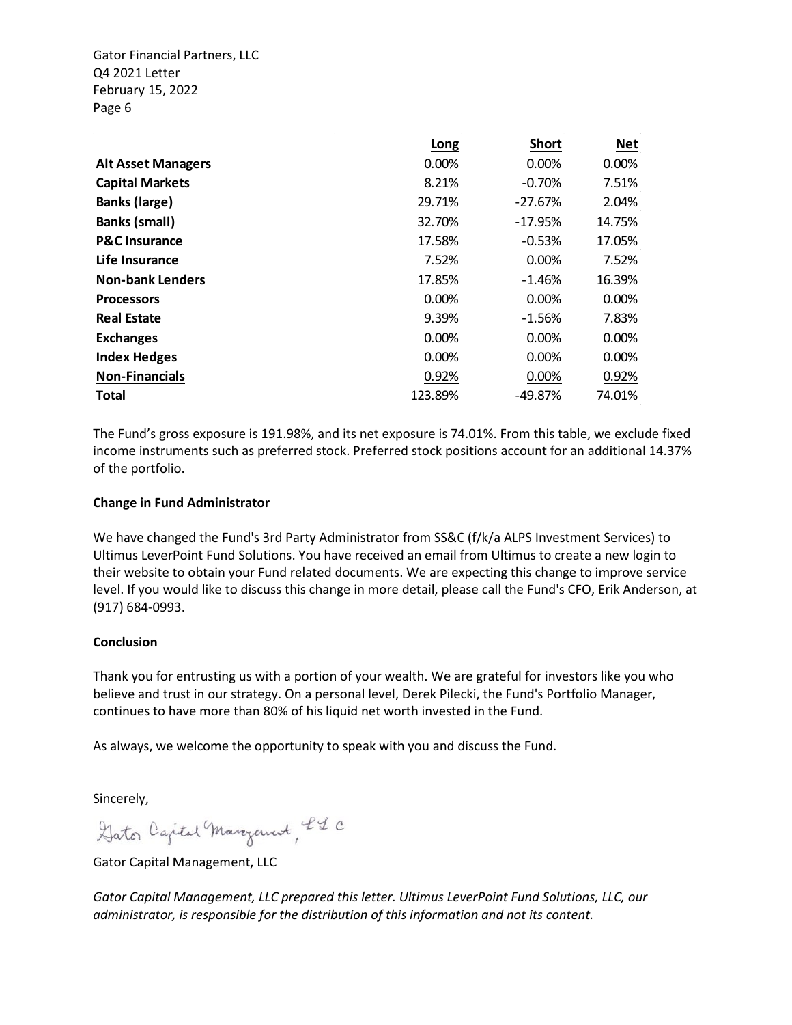|                           | Long    | <b>Short</b> | <b>Net</b> |
|---------------------------|---------|--------------|------------|
| <b>Alt Asset Managers</b> | 0.00%   | 0.00%        | 0.00%      |
| <b>Capital Markets</b>    | 8.21%   | $-0.70%$     | 7.51%      |
| <b>Banks (large)</b>      | 29.71%  | $-27.67%$    | 2.04%      |
| <b>Banks (small)</b>      | 32.70%  | $-17.95%$    | 14.75%     |
| <b>P&amp;C Insurance</b>  | 17.58%  | $-0.53%$     | 17.05%     |
| Life Insurance            | 7.52%   | $0.00\%$     | 7.52%      |
| <b>Non-bank Lenders</b>   | 17.85%  | $-1.46%$     | 16.39%     |
| <b>Processors</b>         | 0.00%   | $0.00\%$     | 0.00%      |
| <b>Real Estate</b>        | 9.39%   | $-1.56%$     | 7.83%      |
| <b>Exchanges</b>          | 0.00%   | 0.00%        | 0.00%      |
| <b>Index Hedges</b>       | 0.00%   | 0.00%        | 0.00%      |
| <b>Non-Financials</b>     | 0.92%   | 0.00%        | 0.92%      |
| <b>Total</b>              | 123.89% | -49.87%      | 74.01%     |

The Fund's gross exposure is 191.98%, and its net exposure is 74.01%. From this table, we exclude fixed income instruments such as preferred stock. Preferred stock positions account for an additional 14.37% of the portfolio.

### **Change in Fund Administrator**

We have changed the Fund's 3rd Party Administrator from SS&C (f/k/a ALPS Investment Services) to Ultimus LeverPoint Fund Solutions. You have received an email from Ultimus to create a new login to their website to obtain your Fund related documents. We are expecting this change to improve service level. If you would like to discuss this change in more detail, please call the Fund's CFO, Erik Anderson, at (917) 684-0993.

#### **Conclusion**

Thank you for entrusting us with a portion of your wealth. We are grateful for investors like you who believe and trust in our strategy. On a personal level, Derek Pilecki, the Fund's Portfolio Manager, continues to have more than 80% of his liquid net worth invested in the Fund.

As always, we welcome the opportunity to speak with you and discuss the Fund.

Sincerely,

Gator Capital Margaret, IL C

Gator Capital Management, LLC

*Gator Capital Management, LLC prepared this letter. Ultimus LeverPoint Fund Solutions, LLC, our administrator, is responsible for the distribution of this information and not its content.*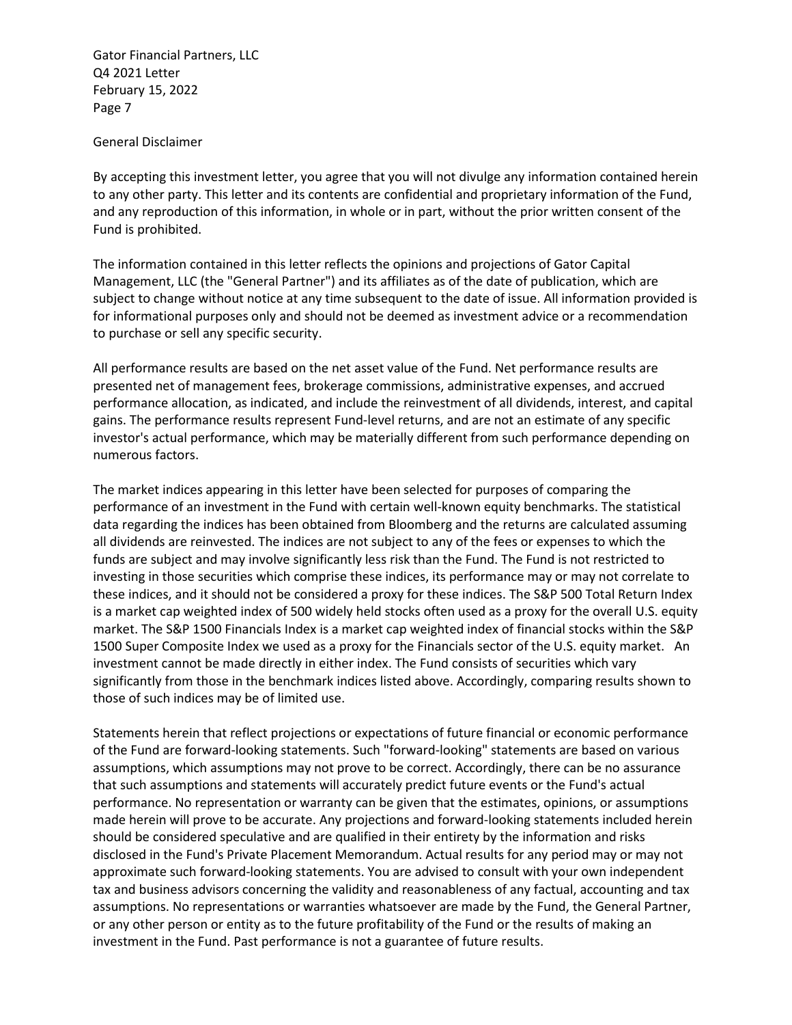### General Disclaimer

By accepting this investment letter, you agree that you will not divulge any information contained herein to any other party. This letter and its contents are confidential and proprietary information of the Fund, and any reproduction of this information, in whole or in part, without the prior written consent of the Fund is prohibited.

The information contained in this letter reflects the opinions and projections of Gator Capital Management, LLC (the "General Partner") and its affiliates as of the date of publication, which are subject to change without notice at any time subsequent to the date of issue. All information provided is for informational purposes only and should not be deemed as investment advice or a recommendation to purchase or sell any specific security.

All performance results are based on the net asset value of the Fund. Net performance results are presented net of management fees, brokerage commissions, administrative expenses, and accrued performance allocation, as indicated, and include the reinvestment of all dividends, interest, and capital gains. The performance results represent Fund-level returns, and are not an estimate of any specific investor's actual performance, which may be materially different from such performance depending on numerous factors.

The market indices appearing in this letter have been selected for purposes of comparing the performance of an investment in the Fund with certain well-known equity benchmarks. The statistical data regarding the indices has been obtained from Bloomberg and the returns are calculated assuming all dividends are reinvested. The indices are not subject to any of the fees or expenses to which the funds are subject and may involve significantly less risk than the Fund. The Fund is not restricted to investing in those securities which comprise these indices, its performance may or may not correlate to these indices, and it should not be considered a proxy for these indices. The S&P 500 Total Return Index is a market cap weighted index of 500 widely held stocks often used as a proxy for the overall U.S. equity market. The S&P 1500 Financials Index is a market cap weighted index of financial stocks within the S&P 1500 Super Composite Index we used as a proxy for the Financials sector of the U.S. equity market. An investment cannot be made directly in either index. The Fund consists of securities which vary significantly from those in the benchmark indices listed above. Accordingly, comparing results shown to those of such indices may be of limited use.

Statements herein that reflect projections or expectations of future financial or economic performance of the Fund are forward-looking statements. Such "forward-looking" statements are based on various assumptions, which assumptions may not prove to be correct. Accordingly, there can be no assurance that such assumptions and statements will accurately predict future events or the Fund's actual performance. No representation or warranty can be given that the estimates, opinions, or assumptions made herein will prove to be accurate. Any projections and forward-looking statements included herein should be considered speculative and are qualified in their entirety by the information and risks disclosed in the Fund's Private Placement Memorandum. Actual results for any period may or may not approximate such forward-looking statements. You are advised to consult with your own independent tax and business advisors concerning the validity and reasonableness of any factual, accounting and tax assumptions. No representations or warranties whatsoever are made by the Fund, the General Partner, or any other person or entity as to the future profitability of the Fund or the results of making an investment in the Fund. Past performance is not a guarantee of future results.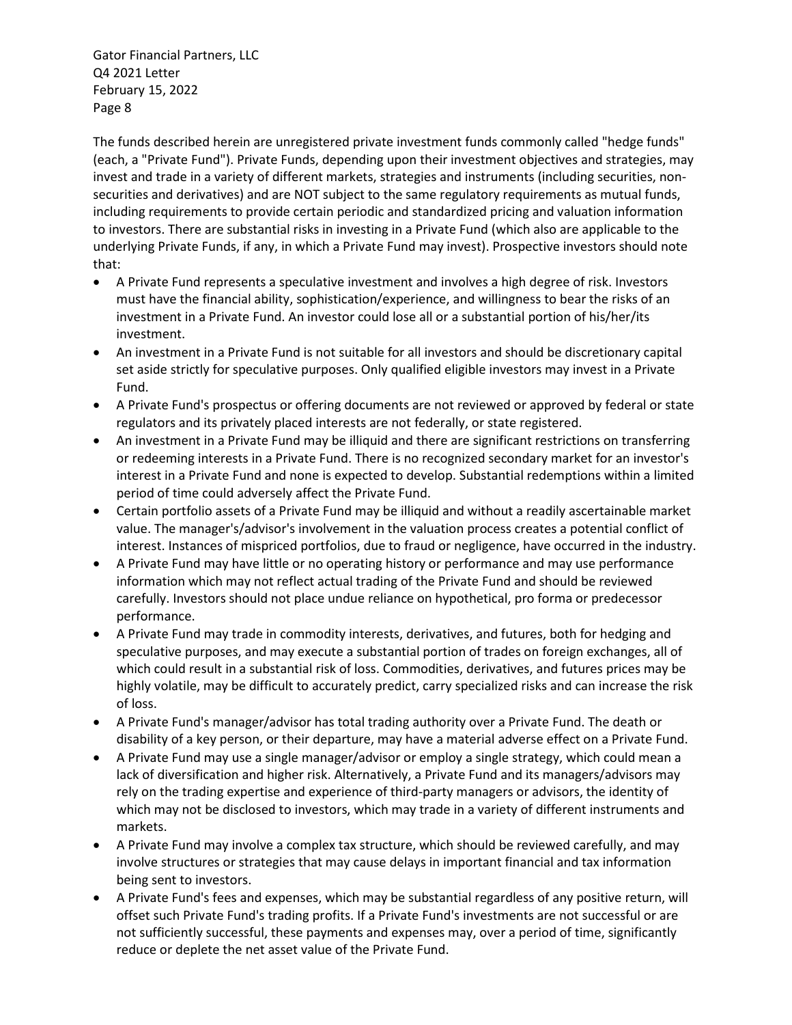The funds described herein are unregistered private investment funds commonly called "hedge funds" (each, a "Private Fund"). Private Funds, depending upon their investment objectives and strategies, may invest and trade in a variety of different markets, strategies and instruments (including securities, nonsecurities and derivatives) and are NOT subject to the same regulatory requirements as mutual funds, including requirements to provide certain periodic and standardized pricing and valuation information to investors. There are substantial risks in investing in a Private Fund (which also are applicable to the underlying Private Funds, if any, in which a Private Fund may invest). Prospective investors should note that:

- A Private Fund represents a speculative investment and involves a high degree of risk. Investors must have the financial ability, sophistication/experience, and willingness to bear the risks of an investment in a Private Fund. An investor could lose all or a substantial portion of his/her/its investment.
- An investment in a Private Fund is not suitable for all investors and should be discretionary capital set aside strictly for speculative purposes. Only qualified eligible investors may invest in a Private Fund.
- A Private Fund's prospectus or offering documents are not reviewed or approved by federal or state regulators and its privately placed interests are not federally, or state registered.
- An investment in a Private Fund may be illiquid and there are significant restrictions on transferring or redeeming interests in a Private Fund. There is no recognized secondary market for an investor's interest in a Private Fund and none is expected to develop. Substantial redemptions within a limited period of time could adversely affect the Private Fund.
- Certain portfolio assets of a Private Fund may be illiquid and without a readily ascertainable market value. The manager's/advisor's involvement in the valuation process creates a potential conflict of interest. Instances of mispriced portfolios, due to fraud or negligence, have occurred in the industry.
- A Private Fund may have little or no operating history or performance and may use performance information which may not reflect actual trading of the Private Fund and should be reviewed carefully. Investors should not place undue reliance on hypothetical, pro forma or predecessor performance.
- A Private Fund may trade in commodity interests, derivatives, and futures, both for hedging and speculative purposes, and may execute a substantial portion of trades on foreign exchanges, all of which could result in a substantial risk of loss. Commodities, derivatives, and futures prices may be highly volatile, may be difficult to accurately predict, carry specialized risks and can increase the risk of loss.
- A Private Fund's manager/advisor has total trading authority over a Private Fund. The death or disability of a key person, or their departure, may have a material adverse effect on a Private Fund.
- A Private Fund may use a single manager/advisor or employ a single strategy, which could mean a lack of diversification and higher risk. Alternatively, a Private Fund and its managers/advisors may rely on the trading expertise and experience of third-party managers or advisors, the identity of which may not be disclosed to investors, which may trade in a variety of different instruments and markets.
- A Private Fund may involve a complex tax structure, which should be reviewed carefully, and may involve structures or strategies that may cause delays in important financial and tax information being sent to investors.
- A Private Fund's fees and expenses, which may be substantial regardless of any positive return, will offset such Private Fund's trading profits. If a Private Fund's investments are not successful or are not sufficiently successful, these payments and expenses may, over a period of time, significantly reduce or deplete the net asset value of the Private Fund.